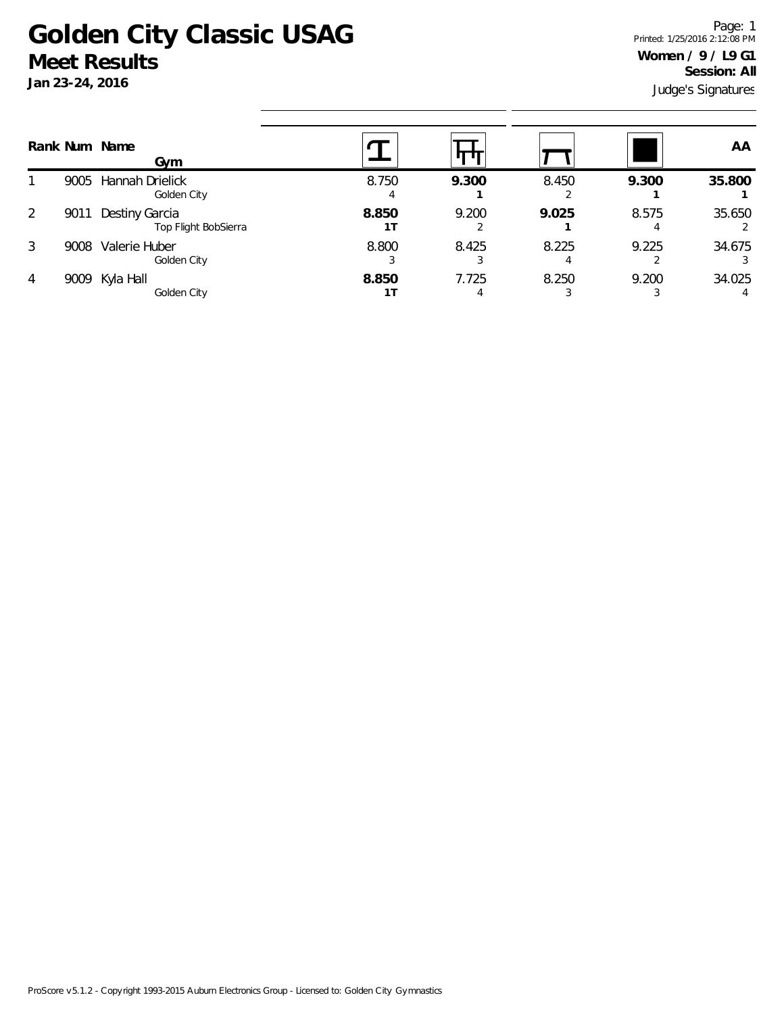## **Golden City Classic USAG Meet Results**

**Jan 23-24, 2016**

Judge's Signatures Page: 1 Printed: 1/25/2016 2:12:08 PM **Women / 9 / L9 G1 Session: All**

|      | Gym                                    |               |            |       |       | AA     |
|------|----------------------------------------|---------------|------------|-------|-------|--------|
| 9005 | Hannah Drielick<br>Golden City         | 8.750         | 9.300      | 8.450 | 9.300 | 35.800 |
| 9011 | Destiny Garcia<br>Top Flight BobSierra | 8.850         | 9.200      | 9.025 | 8.575 | 35.650 |
| 9008 | Valerie Huber<br>Golden City           | 8.800         | 8.425      | 8.225 | 9.225 | 34.675 |
| 9009 | Kyla Hall<br>Golden City               | 8.850         | 7.725<br>4 | 8.250 | 9.200 | 34.025 |
|      |                                        | Rank Num Name |            |       |       |        |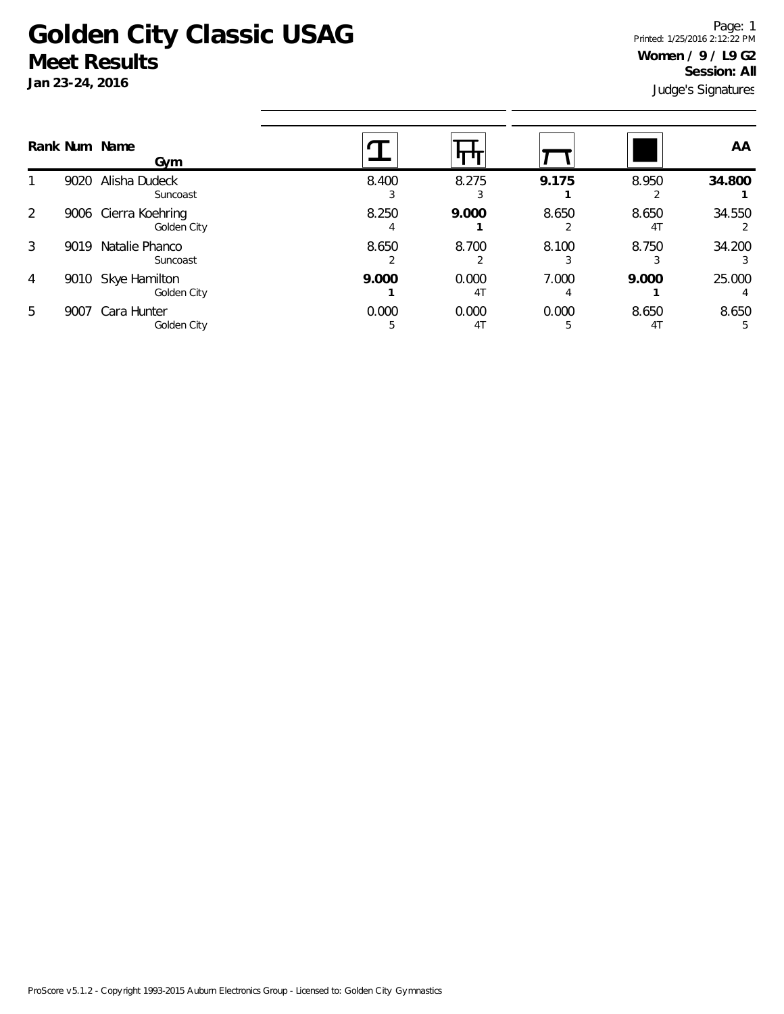## **Golden City Classic USAG Meet Results**

**Jan 23-24, 2016**

Judge's Signatures Page: 1 Printed: 1/25/2016 2:12:22 PM **Women / 9 / L9 G2 Session: All**

|                | Rank Num Name | Gym                                 |       |                         |       |             | AA     |
|----------------|---------------|-------------------------------------|-------|-------------------------|-------|-------------|--------|
|                | 9020          | Alisha Dudeck<br>Suncoast           | 8.400 | 8.275                   | 9.175 | 8.950       | 34.800 |
| 2              |               | 9006 Cierra Koehring<br>Golden City | 8.250 | 9.000                   | 8.650 | 8.650<br>41 | 34.550 |
| 3              | 9019          | Natalie Phanco<br>Suncoast          | 8.650 | 8.700                   | 8.100 | 8.750       | 34.200 |
| $\overline{4}$ | 9010          | Skye Hamilton<br>Golden City        | 9.000 | 0.000<br>4 <sub>1</sub> | 7.000 | 9.000       | 25.000 |
| 5              | 9007          | Cara Hunter<br>Golden City          | 0.000 | 0.000<br>4 <sub>1</sub> | 0.000 | 8.650<br>41 | 8.650  |